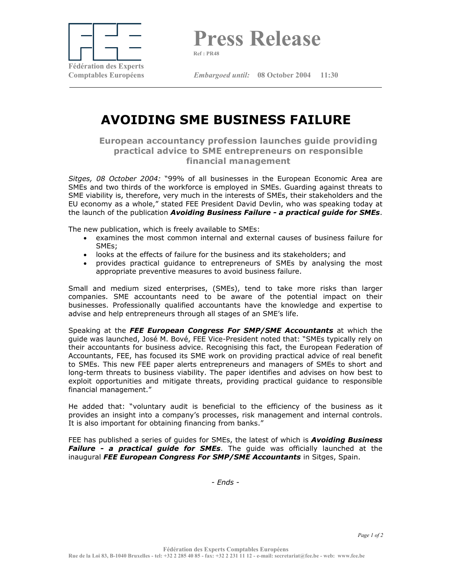

**Press Release** 

**Ref : PR48**

**Comptables Européens** *Embargoed until:* **08 October 2004 11:30** 

## **AVOIDING SME BUSINESS FAILURE**

**European accountancy profession launches guide providing practical advice to SME entrepreneurs on responsible financial management** 

*Sitges, 08 October 2004:* "99% of all businesses in the European Economic Area are SMEs and two thirds of the workforce is employed in SMEs. Guarding against threats to SME viability is, therefore, very much in the interests of SMEs, their stakeholders and the EU economy as a whole," stated FEE President David Devlin, who was speaking today at the launch of the publication *Avoiding Business Failure - a practical guide for SMEs*.

The new publication, which is freely available to SMEs:

- examines the most common internal and external causes of business failure for SMEs;
- looks at the effects of failure for the business and its stakeholders; and
- provides practical guidance to entrepreneurs of SMEs by analysing the most appropriate preventive measures to avoid business failure.

Small and medium sized enterprises, (SMEs), tend to take more risks than larger companies. SME accountants need to be aware of the potential impact on their businesses. Professionally qualified accountants have the knowledge and expertise to advise and help entrepreneurs through all stages of an SME's life.

Speaking at the *FEE European Congress For SMP/SME Accountants* at which the guide was launched, José M. Bové, FEE Vice-President noted that: "SMEs typically rely on their accountants for business advice. Recognising this fact, the European Federation of Accountants, FEE, has focused its SME work on providing practical advice of real benefit to SMEs. This new FEE paper alerts entrepreneurs and managers of SMEs to short and long-term threats to business viability. The paper identifies and advises on how best to exploit opportunities and mitigate threats, providing practical guidance to responsible financial management."

He added that: "voluntary audit is beneficial to the efficiency of the business as it provides an insight into a company's processes, risk management and internal controls. It is also important for obtaining financing from banks."

FEE has published a series of guides for SMEs, the latest of which is *Avoiding Business Failure - a practical guide for SMEs*. The guide was officially launched at the inaugural *FEE European Congress For SMP/SME Accountants* in Sitges, Spain.

*- Ends -*